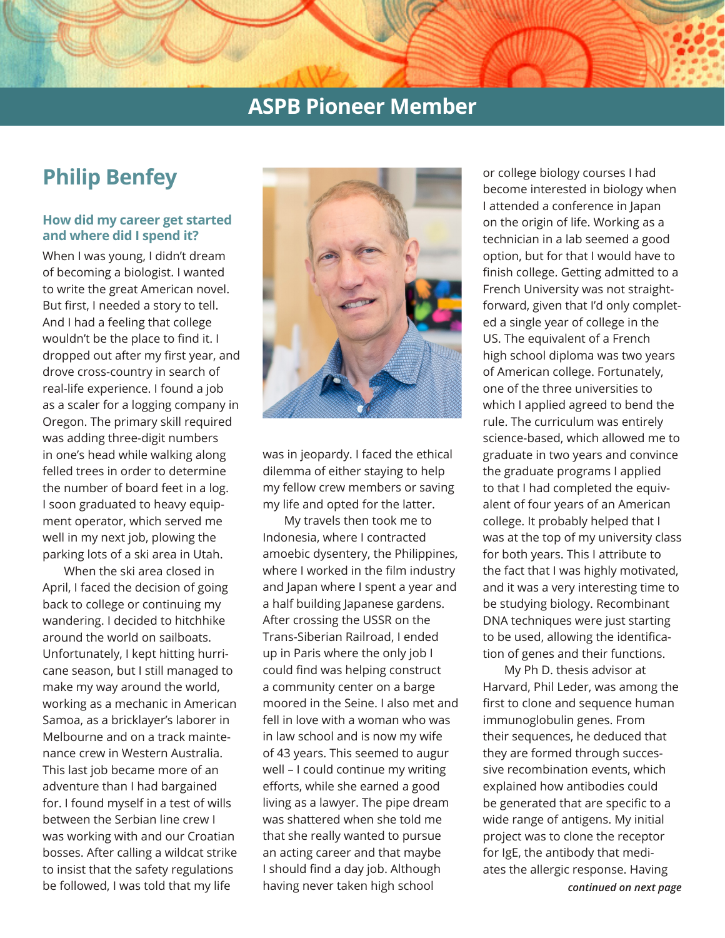# **Philip Benfey**

### **How did my career get started and where did I spend it?**

When I was young, I didn't dream of becoming a biologist. I wanted to write the great American novel. But first, I needed a story to tell. And I had a feeling that college wouldn't be the place to find it. I dropped out after my first year, and drove cross-country in search of real-life experience. I found a job as a scaler for a logging company in Oregon. The primary skill required was adding three-digit numbers in one's head while walking along felled trees in order to determine the number of board feet in a log. I soon graduated to heavy equipment operator, which served me well in my next job, plowing the parking lots of a ski area in Utah.

When the ski area closed in April, I faced the decision of going back to college or continuing my wandering. I decided to hitchhike around the world on sailboats. Unfortunately, I kept hitting hurricane season, but I still managed to make my way around the world, working as a mechanic in American Samoa, as a bricklayer's laborer in Melbourne and on a track maintenance crew in Western Australia. This last job became more of an adventure than I had bargained for. I found myself in a test of wills between the Serbian line crew I was working with and our Croatian bosses. After calling a wildcat strike to insist that the safety regulations be followed, I was told that my life



was in jeopardy. I faced the ethical dilemma of either staying to help my fellow crew members or saving my life and opted for the latter.

My travels then took me to Indonesia, where I contracted amoebic dysentery, the Philippines, where I worked in the film industry and Japan where I spent a year and a half building Japanese gardens. After crossing the USSR on the Trans-Siberian Railroad, I ended up in Paris where the only job I could find was helping construct a community center on a barge moored in the Seine. I also met and fell in love with a woman who was in law school and is now my wife of 43 years. This seemed to augur well – I could continue my writing efforts, while she earned a good living as a lawyer. The pipe dream was shattered when she told me that she really wanted to pursue an acting career and that maybe I should find a day job. Although having never taken high school

or college biology courses I had become interested in biology when I attended a conference in Japan on the origin of life. Working as a technician in a lab seemed a good option, but for that I would have to finish college. Getting admitted to a French University was not straightforward, given that I'd only completed a single year of college in the US. The equivalent of a French high school diploma was two years of American college. Fortunately, one of the three universities to which I applied agreed to bend the rule. The curriculum was entirely science-based, which allowed me to graduate in two years and convince the graduate programs I applied to that I had completed the equivalent of four years of an American college. It probably helped that I was at the top of my university class for both years. This I attribute to the fact that I was highly motivated, and it was a very interesting time to be studying biology. Recombinant DNA techniques were just starting to be used, allowing the identification of genes and their functions.

*continued on next page* My Ph D. thesis advisor at Harvard, Phil Leder, was among the first to clone and sequence human immunoglobulin genes. From their sequences, he deduced that they are formed through successive recombination events, which explained how antibodies could be generated that are specific to a wide range of antigens. My initial project was to clone the receptor for IgE, the antibody that mediates the allergic response. Having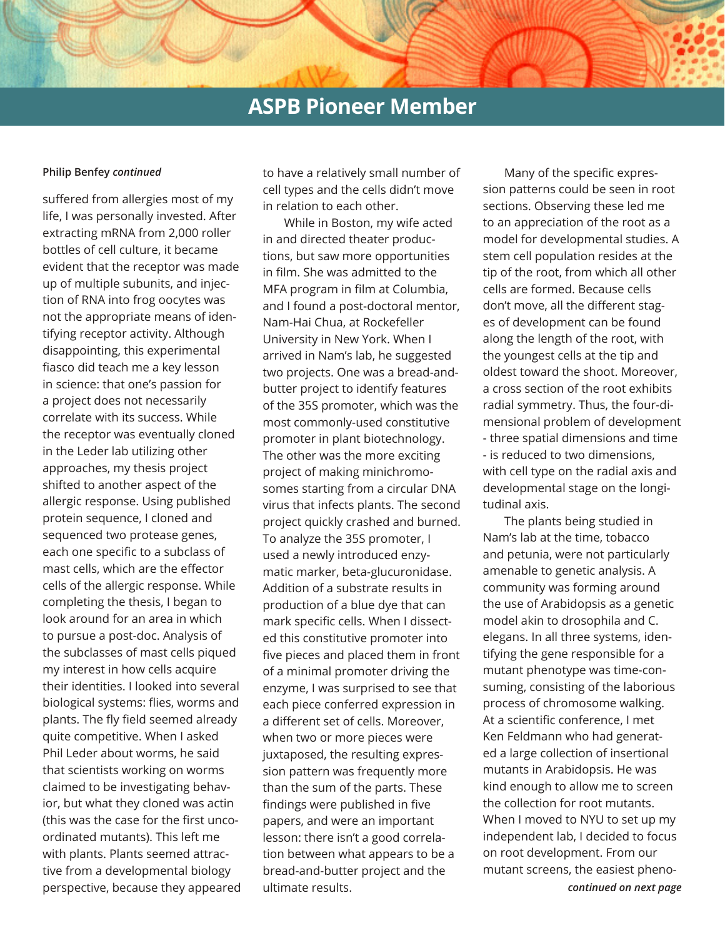#### **Philip Benfey** *continued*

suffered from allergies most of my life, I was personally invested. After extracting mRNA from 2,000 roller bottles of cell culture, it became evident that the receptor was made up of multiple subunits, and injection of RNA into frog oocytes was not the appropriate means of identifying receptor activity. Although disappointing, this experimental fiasco did teach me a key lesson in science: that one's passion for a project does not necessarily correlate with its success. While the receptor was eventually cloned in the Leder lab utilizing other approaches, my thesis project shifted to another aspect of the allergic response. Using published protein sequence, I cloned and sequenced two protease genes, each one specific to a subclass of mast cells, which are the effector cells of the allergic response. While completing the thesis, I began to look around for an area in which to pursue a post-doc. Analysis of the subclasses of mast cells piqued my interest in how cells acquire their identities. I looked into several biological systems: flies, worms and plants. The fly field seemed already quite competitive. When I asked Phil Leder about worms, he said that scientists working on worms claimed to be investigating behavior, but what they cloned was actin (this was the case for the first uncoordinated mutants). This left me with plants. Plants seemed attractive from a developmental biology perspective, because they appeared to have a relatively small number of cell types and the cells didn't move in relation to each other.

While in Boston, my wife acted in and directed theater productions, but saw more opportunities in film. She was admitted to the MFA program in film at Columbia, and I found a post-doctoral mentor, Nam-Hai Chua, at Rockefeller University in New York. When I arrived in Nam's lab, he suggested two projects. One was a bread-andbutter project to identify features of the 35S promoter, which was the most commonly-used constitutive promoter in plant biotechnology. The other was the more exciting project of making minichromosomes starting from a circular DNA virus that infects plants. The second project quickly crashed and burned. To analyze the 35S promoter, I used a newly introduced enzymatic marker, beta-glucuronidase. Addition of a substrate results in production of a blue dye that can mark specific cells. When I dissected this constitutive promoter into five pieces and placed them in front of a minimal promoter driving the enzyme, I was surprised to see that each piece conferred expression in a different set of cells. Moreover, when two or more pieces were juxtaposed, the resulting expression pattern was frequently more than the sum of the parts. These findings were published in five papers, and were an important lesson: there isn't a good correlation between what appears to be a bread-and-butter project and the ultimate results.

Many of the specific expression patterns could be seen in root sections. Observing these led me to an appreciation of the root as a model for developmental studies. A stem cell population resides at the tip of the root, from which all other cells are formed. Because cells don't move, all the different stages of development can be found along the length of the root, with the youngest cells at the tip and oldest toward the shoot. Moreover, a cross section of the root exhibits radial symmetry. Thus, the four-dimensional problem of development - three spatial dimensions and time - is reduced to two dimensions, with cell type on the radial axis and developmental stage on the longitudinal axis.

The plants being studied in Nam's lab at the time, tobacco and petunia, were not particularly amenable to genetic analysis. A community was forming around the use of Arabidopsis as a genetic model akin to drosophila and C. elegans. In all three systems, identifying the gene responsible for a mutant phenotype was time-consuming, consisting of the laborious process of chromosome walking. At a scientific conference, I met Ken Feldmann who had generated a large collection of insertional mutants in Arabidopsis. He was kind enough to allow me to screen the collection for root mutants. When I moved to NYU to set up my independent lab, I decided to focus on root development. From our mutant screens, the easiest pheno-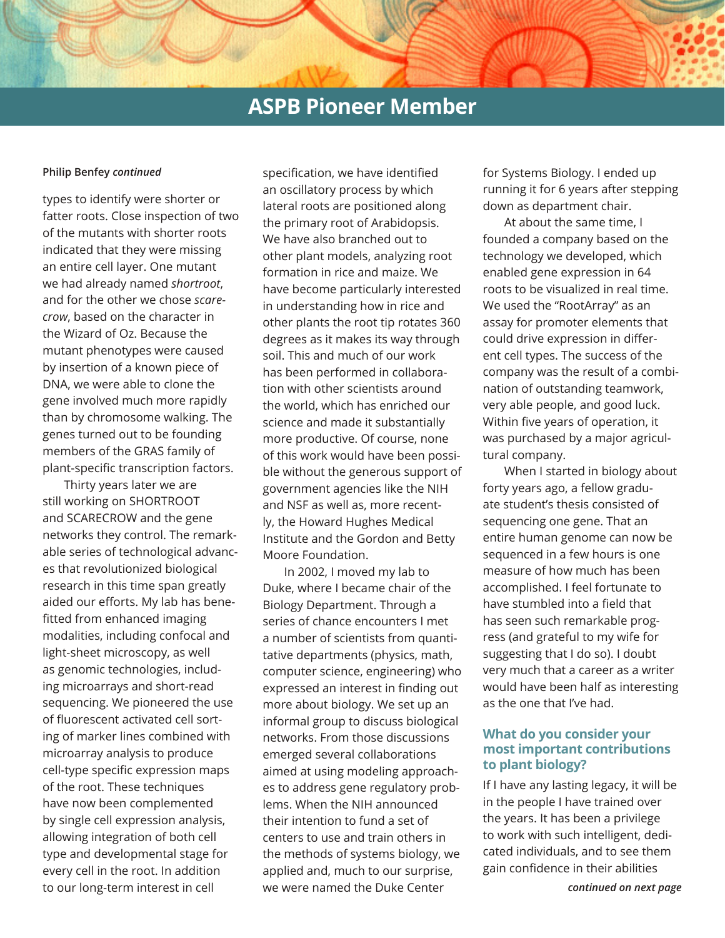#### **Philip Benfey** *continued*

types to identify were shorter or fatter roots. Close inspection of two of the mutants with shorter roots indicated that they were missing an entire cell layer. One mutant we had already named *shortroot*, and for the other we chose *scarecrow*, based on the character in the Wizard of Oz. Because the mutant phenotypes were caused by insertion of a known piece of DNA, we were able to clone the gene involved much more rapidly than by chromosome walking. The genes turned out to be founding members of the GRAS family of plant-specific transcription factors.

Thirty years later we are still working on SHORTROOT and SCARECROW and the gene networks they control. The remarkable series of technological advances that revolutionized biological research in this time span greatly aided our efforts. My lab has benefitted from enhanced imaging modalities, including confocal and light-sheet microscopy, as well as genomic technologies, including microarrays and short-read sequencing. We pioneered the use of fluorescent activated cell sorting of marker lines combined with microarray analysis to produce cell-type specific expression maps of the root. These techniques have now been complemented by single cell expression analysis, allowing integration of both cell type and developmental stage for every cell in the root. In addition to our long-term interest in cell

specification, we have identified an oscillatory process by which lateral roots are positioned along the primary root of Arabidopsis. We have also branched out to other plant models, analyzing root formation in rice and maize. We have become particularly interested in understanding how in rice and other plants the root tip rotates 360 degrees as it makes its way through soil. This and much of our work has been performed in collaboration with other scientists around the world, which has enriched our science and made it substantially more productive. Of course, none of this work would have been possible without the generous support of government agencies like the NIH and NSF as well as, more recently, the Howard Hughes Medical Institute and the Gordon and Betty Moore Foundation.

In 2002, I moved my lab to Duke, where I became chair of the Biology Department. Through a series of chance encounters I met a number of scientists from quantitative departments (physics, math, computer science, engineering) who expressed an interest in finding out more about biology. We set up an informal group to discuss biological networks. From those discussions emerged several collaborations aimed at using modeling approaches to address gene regulatory problems. When the NIH announced their intention to fund a set of centers to use and train others in the methods of systems biology, we applied and, much to our surprise, we were named the Duke Center

for Systems Biology. I ended up running it for 6 years after stepping down as department chair.

At about the same time, I founded a company based on the technology we developed, which enabled gene expression in 64 roots to be visualized in real time. We used the "RootArray" as an assay for promoter elements that could drive expression in different cell types. The success of the company was the result of a combination of outstanding teamwork, very able people, and good luck. Within five years of operation, it was purchased by a major agricultural company.

When I started in biology about forty years ago, a fellow graduate student's thesis consisted of sequencing one gene. That an entire human genome can now be sequenced in a few hours is one measure of how much has been accomplished. I feel fortunate to have stumbled into a field that has seen such remarkable progress (and grateful to my wife for suggesting that I do so). I doubt very much that a career as a writer would have been half as interesting as the one that I've had.

### **What do you consider your most important contributions to plant biology?**

If I have any lasting legacy, it will be in the people I have trained over the years. It has been a privilege to work with such intelligent, dedicated individuals, and to see them gain confidence in their abilities